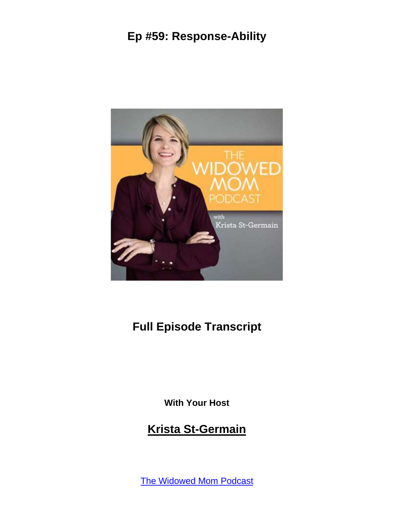

# **Full Episode Transcript**

**With Your Host**

#### **Krista St-Germain**

The [Widowed](https://coachingwithkrista.com/podcast) Mom Podcast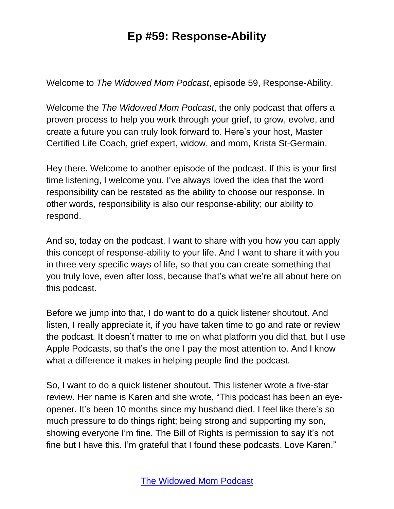Welcome to *The Widowed Mom Podcast*, episode 59, Response-Ability.

Welcome the *The Widowed Mom Podcast*, the only podcast that offers a proven process to help you work through your grief, to grow, evolve, and create a future you can truly look forward to. Here's your host, Master Certified Life Coach, grief expert, widow, and mom, Krista St-Germain.

Hey there. Welcome to another episode of the podcast. If this is your first time listening, I welcome you. I've always loved the idea that the word responsibility can be restated as the ability to choose our response. In other words, responsibility is also our response-ability; our ability to respond.

And so, today on the podcast, I want to share with you how you can apply this concept of response-ability to your life. And I want to share it with you in three very specific ways of life, so that you can create something that you truly love, even after loss, because that's what we're all about here on this podcast.

Before we jump into that, I do want to do a quick listener shoutout. And listen, I really appreciate it, if you have taken time to go and rate or review the podcast. It doesn't matter to me on what platform you did that, but I use Apple Podcasts, so that's the one I pay the most attention to. And I know what a difference it makes in helping people find the podcast.

So, I want to do a quick listener shoutout. This listener wrote a five-star review. Her name is Karen and she wrote, "This podcast has been an eyeopener. It's been 10 months since my husband died. I feel like there's so much pressure to do things right; being strong and supporting my son, showing everyone I'm fine. The Bill of Rights is permission to say it's not fine but I have this. I'm grateful that I found these podcasts. Love Karen."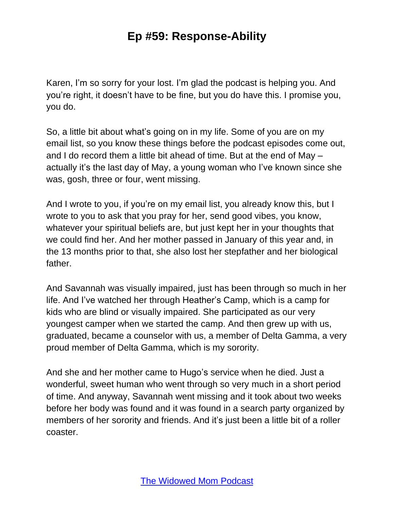Karen, I'm so sorry for your lost. I'm glad the podcast is helping you. And you're right, it doesn't have to be fine, but you do have this. I promise you, you do.

So, a little bit about what's going on in my life. Some of you are on my email list, so you know these things before the podcast episodes come out, and I do record them a little bit ahead of time. But at the end of May – actually it's the last day of May, a young woman who I've known since she was, gosh, three or four, went missing.

And I wrote to you, if you're on my email list, you already know this, but I wrote to you to ask that you pray for her, send good vibes, you know, whatever your spiritual beliefs are, but just kept her in your thoughts that we could find her. And her mother passed in January of this year and, in the 13 months prior to that, she also lost her stepfather and her biological father.

And Savannah was visually impaired, just has been through so much in her life. And I've watched her through Heather's Camp, which is a camp for kids who are blind or visually impaired. She participated as our very youngest camper when we started the camp. And then grew up with us, graduated, became a counselor with us, a member of Delta Gamma, a very proud member of Delta Gamma, which is my sorority.

And she and her mother came to Hugo's service when he died. Just a wonderful, sweet human who went through so very much in a short period of time. And anyway, Savannah went missing and it took about two weeks before her body was found and it was found in a search party organized by members of her sorority and friends. And it's just been a little bit of a roller coaster.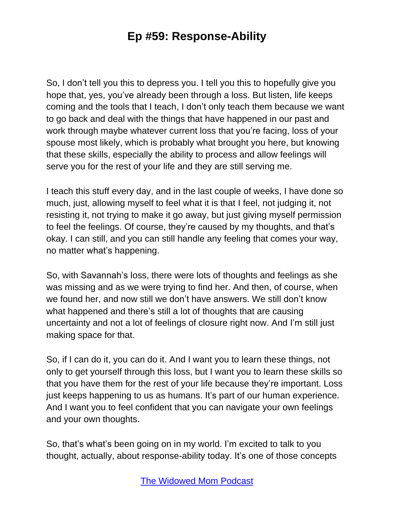So, I don't tell you this to depress you. I tell you this to hopefully give you hope that, yes, you've already been through a loss. But listen, life keeps coming and the tools that I teach, I don't only teach them because we want to go back and deal with the things that have happened in our past and work through maybe whatever current loss that you're facing, loss of your spouse most likely, which is probably what brought you here, but knowing that these skills, especially the ability to process and allow feelings will serve you for the rest of your life and they are still serving me.

I teach this stuff every day, and in the last couple of weeks, I have done so much, just, allowing myself to feel what it is that I feel, not judging it, not resisting it, not trying to make it go away, but just giving myself permission to feel the feelings. Of course, they're caused by my thoughts, and that's okay. I can still, and you can still handle any feeling that comes your way, no matter what's happening.

So, with Savannah's loss, there were lots of thoughts and feelings as she was missing and as we were trying to find her. And then, of course, when we found her, and now still we don't have answers. We still don't know what happened and there's still a lot of thoughts that are causing uncertainty and not a lot of feelings of closure right now. And I'm still just making space for that.

So, if I can do it, you can do it. And I want you to learn these things, not only to get yourself through this loss, but I want you to learn these skills so that you have them for the rest of your life because they're important. Loss just keeps happening to us as humans. It's part of our human experience. And I want you to feel confident that you can navigate your own feelings and your own thoughts.

So, that's what's been going on in my world. I'm excited to talk to you thought, actually, about response-ability today. It's one of those concepts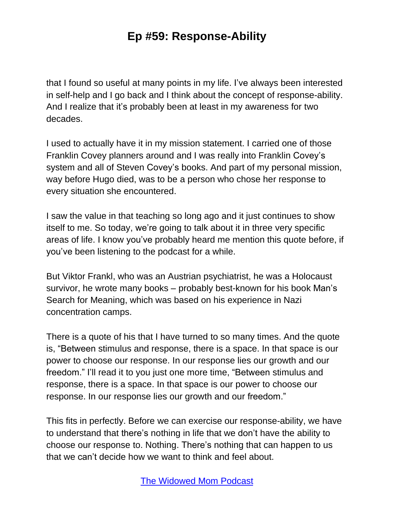that I found so useful at many points in my life. I've always been interested in self-help and I go back and I think about the concept of response-ability. And I realize that it's probably been at least in my awareness for two decades.

I used to actually have it in my mission statement. I carried one of those Franklin Covey planners around and I was really into Franklin Covey's system and all of Steven Covey's books. And part of my personal mission, way before Hugo died, was to be a person who chose her response to every situation she encountered.

I saw the value in that teaching so long ago and it just continues to show itself to me. So today, we're going to talk about it in three very specific areas of life. I know you've probably heard me mention this quote before, if you've been listening to the podcast for a while.

But Viktor Frankl, who was an Austrian psychiatrist, he was a Holocaust survivor, he wrote many books – probably best-known for his book Man's Search for Meaning, which was based on his experience in Nazi concentration camps.

There is a quote of his that I have turned to so many times. And the quote is, "Between stimulus and response, there is a space. In that space is our power to choose our response. In our response lies our growth and our freedom." I'll read it to you just one more time, "Between stimulus and response, there is a space. In that space is our power to choose our response. In our response lies our growth and our freedom."

This fits in perfectly. Before we can exercise our response-ability, we have to understand that there's nothing in life that we don't have the ability to choose our response to. Nothing. There's nothing that can happen to us that we can't decide how we want to think and feel about.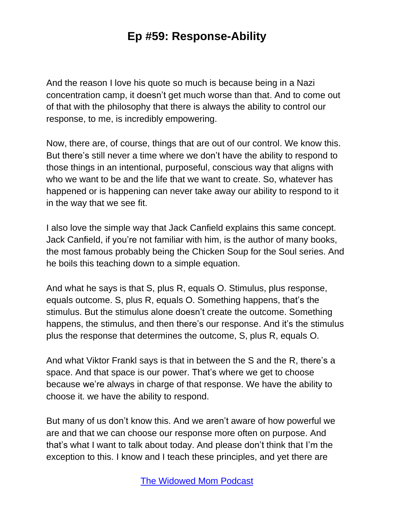And the reason I love his quote so much is because being in a Nazi concentration camp, it doesn't get much worse than that. And to come out of that with the philosophy that there is always the ability to control our response, to me, is incredibly empowering.

Now, there are, of course, things that are out of our control. We know this. But there's still never a time where we don't have the ability to respond to those things in an intentional, purposeful, conscious way that aligns with who we want to be and the life that we want to create. So, whatever has happened or is happening can never take away our ability to respond to it in the way that we see fit.

I also love the simple way that Jack Canfield explains this same concept. Jack Canfield, if you're not familiar with him, is the author of many books, the most famous probably being the Chicken Soup for the Soul series. And he boils this teaching down to a simple equation.

And what he says is that S, plus R, equals O. Stimulus, plus response, equals outcome. S, plus R, equals O. Something happens, that's the stimulus. But the stimulus alone doesn't create the outcome. Something happens, the stimulus, and then there's our response. And it's the stimulus plus the response that determines the outcome, S, plus R, equals O.

And what Viktor Frankl says is that in between the S and the R, there's a space. And that space is our power. That's where we get to choose because we're always in charge of that response. We have the ability to choose it. we have the ability to respond.

But many of us don't know this. And we aren't aware of how powerful we are and that we can choose our response more often on purpose. And that's what I want to talk about today. And please don't think that I'm the exception to this. I know and I teach these principles, and yet there are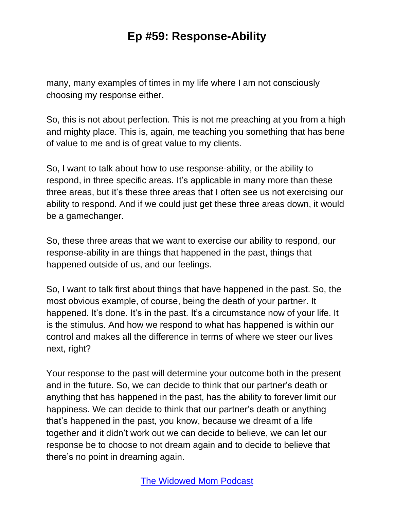many, many examples of times in my life where I am not consciously choosing my response either.

So, this is not about perfection. This is not me preaching at you from a high and mighty place. This is, again, me teaching you something that has bene of value to me and is of great value to my clients.

So, I want to talk about how to use response-ability, or the ability to respond, in three specific areas. It's applicable in many more than these three areas, but it's these three areas that I often see us not exercising our ability to respond. And if we could just get these three areas down, it would be a gamechanger.

So, these three areas that we want to exercise our ability to respond, our response-ability in are things that happened in the past, things that happened outside of us, and our feelings.

So, I want to talk first about things that have happened in the past. So, the most obvious example, of course, being the death of your partner. It happened. It's done. It's in the past. It's a circumstance now of your life. It is the stimulus. And how we respond to what has happened is within our control and makes all the difference in terms of where we steer our lives next, right?

Your response to the past will determine your outcome both in the present and in the future. So, we can decide to think that our partner's death or anything that has happened in the past, has the ability to forever limit our happiness. We can decide to think that our partner's death or anything that's happened in the past, you know, because we dreamt of a life together and it didn't work out we can decide to believe, we can let our response be to choose to not dream again and to decide to believe that there's no point in dreaming again.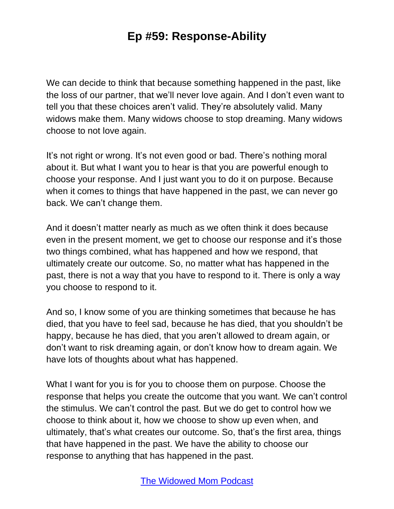We can decide to think that because something happened in the past, like the loss of our partner, that we'll never love again. And I don't even want to tell you that these choices aren't valid. They're absolutely valid. Many widows make them. Many widows choose to stop dreaming. Many widows choose to not love again.

It's not right or wrong. It's not even good or bad. There's nothing moral about it. But what I want you to hear is that you are powerful enough to choose your response. And I just want you to do it on purpose. Because when it comes to things that have happened in the past, we can never go back. We can't change them.

And it doesn't matter nearly as much as we often think it does because even in the present moment, we get to choose our response and it's those two things combined, what has happened and how we respond, that ultimately create our outcome. So, no matter what has happened in the past, there is not a way that you have to respond to it. There is only a way you choose to respond to it.

And so, I know some of you are thinking sometimes that because he has died, that you have to feel sad, because he has died, that you shouldn't be happy, because he has died, that you aren't allowed to dream again, or don't want to risk dreaming again, or don't know how to dream again. We have lots of thoughts about what has happened.

What I want for you is for you to choose them on purpose. Choose the response that helps you create the outcome that you want. We can't control the stimulus. We can't control the past. But we do get to control how we choose to think about it, how we choose to show up even when, and ultimately, that's what creates our outcome. So, that's the first area, things that have happened in the past. We have the ability to choose our response to anything that has happened in the past.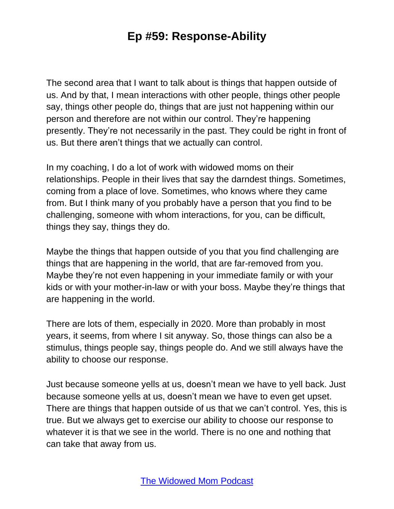The second area that I want to talk about is things that happen outside of us. And by that, I mean interactions with other people, things other people say, things other people do, things that are just not happening within our person and therefore are not within our control. They're happening presently. They're not necessarily in the past. They could be right in front of us. But there aren't things that we actually can control.

In my coaching, I do a lot of work with widowed moms on their relationships. People in their lives that say the darndest things. Sometimes, coming from a place of love. Sometimes, who knows where they came from. But I think many of you probably have a person that you find to be challenging, someone with whom interactions, for you, can be difficult, things they say, things they do.

Maybe the things that happen outside of you that you find challenging are things that are happening in the world, that are far-removed from you. Maybe they're not even happening in your immediate family or with your kids or with your mother-in-law or with your boss. Maybe they're things that are happening in the world.

There are lots of them, especially in 2020. More than probably in most years, it seems, from where I sit anyway. So, those things can also be a stimulus, things people say, things people do. And we still always have the ability to choose our response.

Just because someone yells at us, doesn't mean we have to yell back. Just because someone yells at us, doesn't mean we have to even get upset. There are things that happen outside of us that we can't control. Yes, this is true. But we always get to exercise our ability to choose our response to whatever it is that we see in the world. There is no one and nothing that can take that away from us.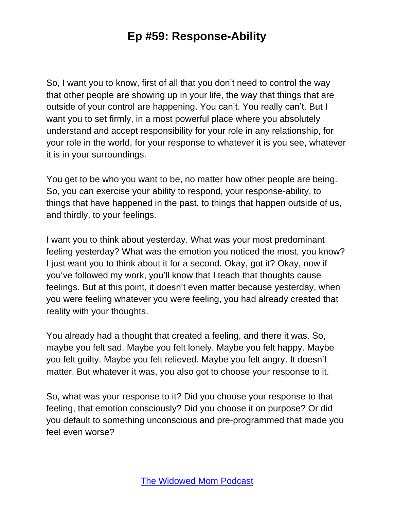So, I want you to know, first of all that you don't need to control the way that other people are showing up in your life, the way that things that are outside of your control are happening. You can't. You really can't. But I want you to set firmly, in a most powerful place where you absolutely understand and accept responsibility for your role in any relationship, for your role in the world, for your response to whatever it is you see, whatever it is in your surroundings.

You get to be who you want to be, no matter how other people are being. So, you can exercise your ability to respond, your response-ability, to things that have happened in the past, to things that happen outside of us, and thirdly, to your feelings.

I want you to think about yesterday. What was your most predominant feeling yesterday? What was the emotion you noticed the most, you know? I just want you to think about it for a second. Okay, got it? Okay, now if you've followed my work, you'll know that I teach that thoughts cause feelings. But at this point, it doesn't even matter because yesterday, when you were feeling whatever you were feeling, you had already created that reality with your thoughts.

You already had a thought that created a feeling, and there it was. So, maybe you felt sad. Maybe you felt lonely. Maybe you felt happy. Maybe you felt guilty. Maybe you felt relieved. Maybe you felt angry. It doesn't matter. But whatever it was, you also got to choose your response to it.

So, what was your response to it? Did you choose your response to that feeling, that emotion consciously? Did you choose it on purpose? Or did you default to something unconscious and pre-programmed that made you feel even worse?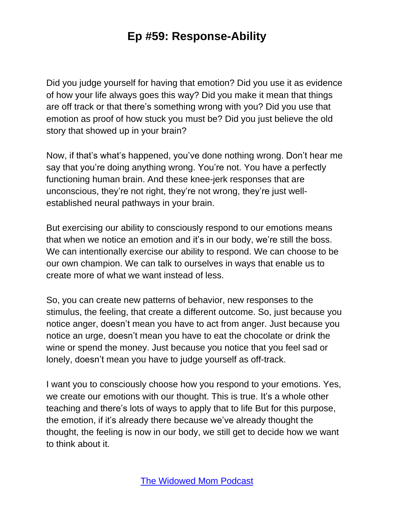Did you judge yourself for having that emotion? Did you use it as evidence of how your life always goes this way? Did you make it mean that things are off track or that there's something wrong with you? Did you use that emotion as proof of how stuck you must be? Did you just believe the old story that showed up in your brain?

Now, if that's what's happened, you've done nothing wrong. Don't hear me say that you're doing anything wrong. You're not. You have a perfectly functioning human brain. And these knee-jerk responses that are unconscious, they're not right, they're not wrong, they're just wellestablished neural pathways in your brain.

But exercising our ability to consciously respond to our emotions means that when we notice an emotion and it's in our body, we're still the boss. We can intentionally exercise our ability to respond. We can choose to be our own champion. We can talk to ourselves in ways that enable us to create more of what we want instead of less.

So, you can create new patterns of behavior, new responses to the stimulus, the feeling, that create a different outcome. So, just because you notice anger, doesn't mean you have to act from anger. Just because you notice an urge, doesn't mean you have to eat the chocolate or drink the wine or spend the money. Just because you notice that you feel sad or lonely, doesn't mean you have to judge yourself as off-track.

I want you to consciously choose how you respond to your emotions. Yes, we create our emotions with our thought. This is true. It's a whole other teaching and there's lots of ways to apply that to life But for this purpose, the emotion, if it's already there because we've already thought the thought, the feeling is now in our body, we still get to decide how we want to think about it.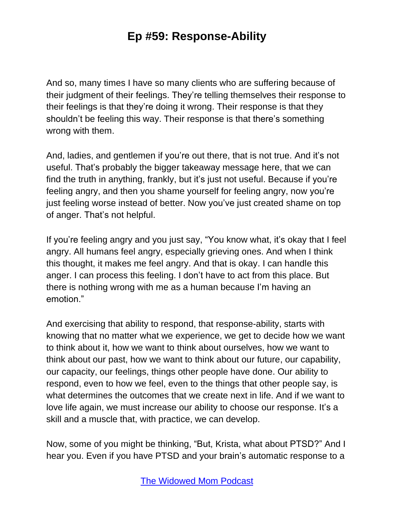And so, many times I have so many clients who are suffering because of their judgment of their feelings. They're telling themselves their response to their feelings is that they're doing it wrong. Their response is that they shouldn't be feeling this way. Their response is that there's something wrong with them.

And, ladies, and gentlemen if you're out there, that is not true. And it's not useful. That's probably the bigger takeaway message here, that we can find the truth in anything, frankly, but it's just not useful. Because if you're feeling angry, and then you shame yourself for feeling angry, now you're just feeling worse instead of better. Now you've just created shame on top of anger. That's not helpful.

If you're feeling angry and you just say, "You know what, it's okay that I feel angry. All humans feel angry, especially grieving ones. And when I think this thought, it makes me feel angry. And that is okay. I can handle this anger. I can process this feeling. I don't have to act from this place. But there is nothing wrong with me as a human because I'm having an emotion."

And exercising that ability to respond, that response-ability, starts with knowing that no matter what we experience, we get to decide how we want to think about it, how we want to think about ourselves, how we want to think about our past, how we want to think about our future, our capability, our capacity, our feelings, things other people have done. Our ability to respond, even to how we feel, even to the things that other people say, is what determines the outcomes that we create next in life. And if we want to love life again, we must increase our ability to choose our response. It's a skill and a muscle that, with practice, we can develop.

Now, some of you might be thinking, "But, Krista, what about PTSD?" And I hear you. Even if you have PTSD and your brain's automatic response to a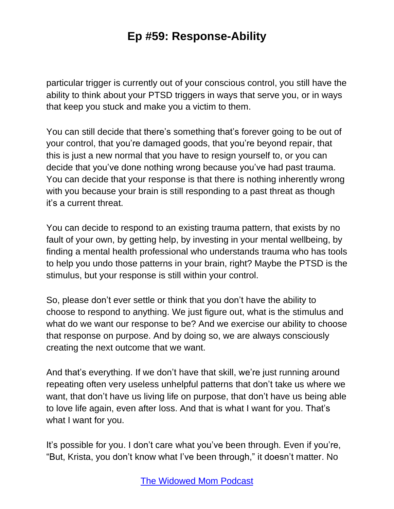particular trigger is currently out of your conscious control, you still have the ability to think about your PTSD triggers in ways that serve you, or in ways that keep you stuck and make you a victim to them.

You can still decide that there's something that's forever going to be out of your control, that you're damaged goods, that you're beyond repair, that this is just a new normal that you have to resign yourself to, or you can decide that you've done nothing wrong because you've had past trauma. You can decide that your response is that there is nothing inherently wrong with you because your brain is still responding to a past threat as though it's a current threat.

You can decide to respond to an existing trauma pattern, that exists by no fault of your own, by getting help, by investing in your mental wellbeing, by finding a mental health professional who understands trauma who has tools to help you undo those patterns in your brain, right? Maybe the PTSD is the stimulus, but your response is still within your control.

So, please don't ever settle or think that you don't have the ability to choose to respond to anything. We just figure out, what is the stimulus and what do we want our response to be? And we exercise our ability to choose that response on purpose. And by doing so, we are always consciously creating the next outcome that we want.

And that's everything. If we don't have that skill, we're just running around repeating often very useless unhelpful patterns that don't take us where we want, that don't have us living life on purpose, that don't have us being able to love life again, even after loss. And that is what I want for you. That's what I want for you.

It's possible for you. I don't care what you've been through. Even if you're, "But, Krista, you don't know what I've been through," it doesn't matter. No